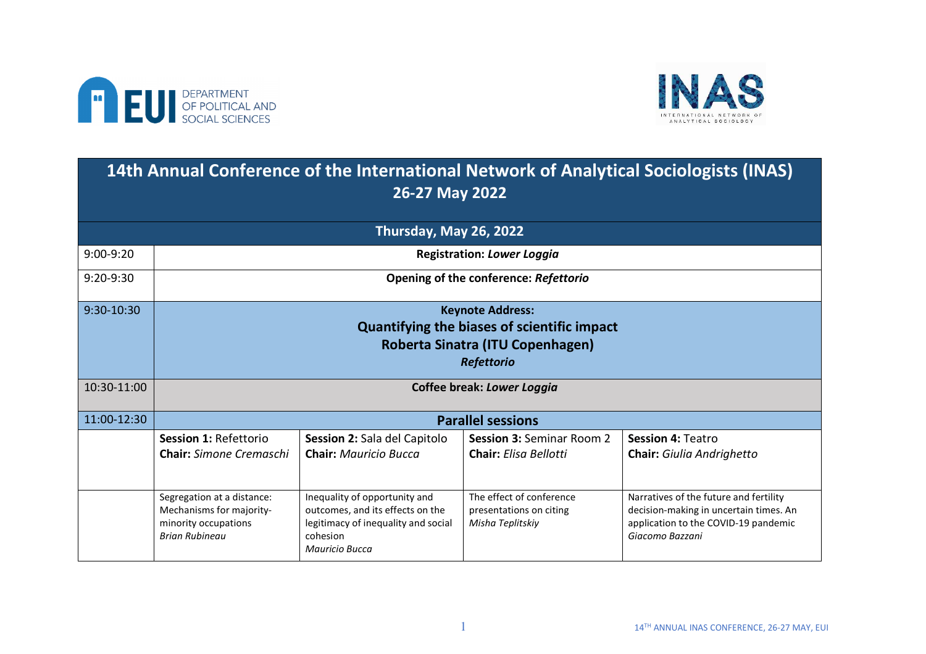



## **14th Annual Conference of the International Network of Analytical Sociologists (INAS) 26-27 May 2022**

| Thursday, May 26, 2022 |                                                                                                                                        |                                                                                                                                               |                                                                         |                                                                                                                                             |  |
|------------------------|----------------------------------------------------------------------------------------------------------------------------------------|-----------------------------------------------------------------------------------------------------------------------------------------------|-------------------------------------------------------------------------|---------------------------------------------------------------------------------------------------------------------------------------------|--|
| $9:00-9:20$            | <b>Registration: Lower Loggia</b>                                                                                                      |                                                                                                                                               |                                                                         |                                                                                                                                             |  |
| $9:20-9:30$            | Opening of the conference: Refettorio                                                                                                  |                                                                                                                                               |                                                                         |                                                                                                                                             |  |
| 9:30-10:30             | <b>Keynote Address:</b><br><b>Quantifying the biases of scientific impact</b><br>Roberta Sinatra (ITU Copenhagen)<br><b>Refettorio</b> |                                                                                                                                               |                                                                         |                                                                                                                                             |  |
| 10:30-11:00            | Coffee break: Lower Loggia                                                                                                             |                                                                                                                                               |                                                                         |                                                                                                                                             |  |
| 11:00-12:30            | <b>Parallel sessions</b>                                                                                                               |                                                                                                                                               |                                                                         |                                                                                                                                             |  |
|                        | Session 1: Refettorio<br><b>Chair:</b> Simone Cremaschi                                                                                | <b>Session 2: Sala del Capitolo</b><br><b>Chair:</b> Mauricio Bucca                                                                           | <b>Session 3: Seminar Room 2</b><br><b>Chair:</b> Elisa Bellotti        | Session 4: Teatro<br><b>Chair:</b> Giulia Andrighetto                                                                                       |  |
|                        | Segregation at a distance:<br>Mechanisms for majority-<br>minority occupations<br><b>Brian Rubineau</b>                                | Inequality of opportunity and<br>outcomes, and its effects on the<br>legitimacy of inequality and social<br>cohesion<br><b>Mauricio Bucca</b> | The effect of conference<br>presentations on citing<br>Misha Teplitskiy | Narratives of the future and fertility<br>decision-making in uncertain times. An<br>application to the COVID-19 pandemic<br>Giacomo Bazzani |  |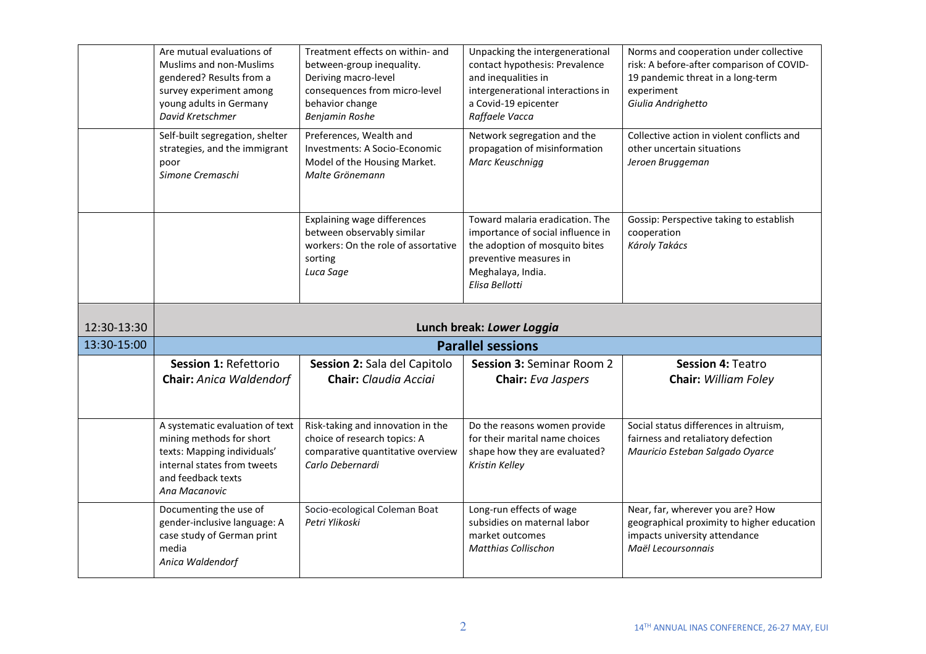|             | Are mutual evaluations of<br><b>Muslims and non-Muslims</b><br>gendered? Results from a<br>survey experiment among<br>young adults in Germany<br>David Kretschmer | Treatment effects on within- and<br>between-group inequality.<br>Deriving macro-level<br>consequences from micro-level<br>behavior change<br><b>Benjamin Roshe</b> | Unpacking the intergenerational<br>contact hypothesis: Prevalence<br>and inequalities in<br>intergenerational interactions in<br>a Covid-19 epicenter<br>Raffaele Vacca | Norms and cooperation under collective<br>risk: A before-after comparison of COVID-<br>19 pandemic threat in a long-term<br>experiment<br>Giulia Andrighetto |  |
|-------------|-------------------------------------------------------------------------------------------------------------------------------------------------------------------|--------------------------------------------------------------------------------------------------------------------------------------------------------------------|-------------------------------------------------------------------------------------------------------------------------------------------------------------------------|--------------------------------------------------------------------------------------------------------------------------------------------------------------|--|
|             | Self-built segregation, shelter<br>strategies, and the immigrant<br>poor<br>Simone Cremaschi                                                                      | Preferences, Wealth and<br>Investments: A Socio-Economic<br>Model of the Housing Market.<br>Malte Grönemann                                                        | Network segregation and the<br>propagation of misinformation<br>Marc Keuschnigg                                                                                         | Collective action in violent conflicts and<br>other uncertain situations<br>Jeroen Bruggeman                                                                 |  |
|             |                                                                                                                                                                   | Explaining wage differences<br>between observably similar<br>workers: On the role of assortative<br>sorting<br>Luca Sage                                           | Toward malaria eradication. The<br>importance of social influence in<br>the adoption of mosquito bites<br>preventive measures in<br>Meghalaya, India.<br>Elisa Bellotti | Gossip: Perspective taking to establish<br>cooperation<br>Károly Takács                                                                                      |  |
|             | Lunch break: Lower Loggia                                                                                                                                         |                                                                                                                                                                    |                                                                                                                                                                         |                                                                                                                                                              |  |
| 12:30-13:30 |                                                                                                                                                                   |                                                                                                                                                                    |                                                                                                                                                                         |                                                                                                                                                              |  |
| 13:30-15:00 |                                                                                                                                                                   |                                                                                                                                                                    | <b>Parallel sessions</b>                                                                                                                                                |                                                                                                                                                              |  |
|             | Session 1: Refettorio<br>Chair: Anica Waldendorf                                                                                                                  | Session 2: Sala del Capitolo<br><b>Chair:</b> Claudia Acciai                                                                                                       | <b>Session 3: Seminar Room 2</b><br>Chair: Eva Jaspers                                                                                                                  | Session 4: Teatro<br><b>Chair: William Foley</b>                                                                                                             |  |
|             | A systematic evaluation of text<br>mining methods for short<br>texts: Mapping individuals'<br>internal states from tweets<br>and feedback texts<br>Ana Macanovic  | Risk-taking and innovation in the<br>choice of research topics: A<br>comparative quantitative overview<br>Carlo Debernardi                                         | Do the reasons women provide<br>for their marital name choices<br>shape how they are evaluated?<br>Kristin Kelley                                                       | Social status differences in altruism,<br>fairness and retaliatory defection<br>Mauricio Esteban Salgado Oyarce                                              |  |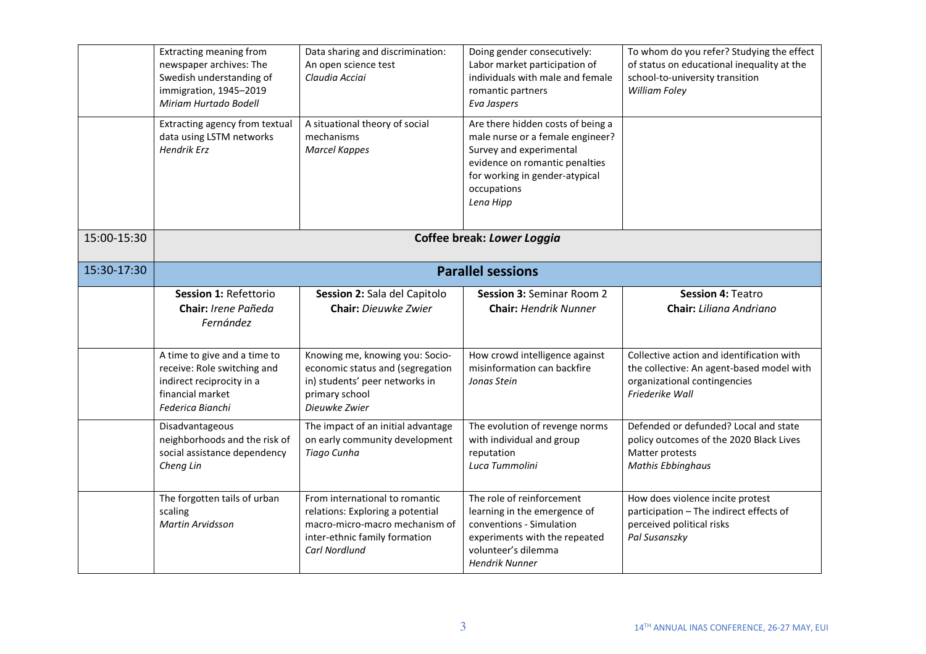|             | <b>Extracting meaning from</b><br>newspaper archives: The<br>Swedish understanding of<br>immigration, 1945-2019<br>Miriam Hurtado Bodell | Data sharing and discrimination:<br>An open science test<br>Claudia Acciai                                                                             | Doing gender consecutively:<br>Labor market participation of<br>individuals with male and female<br>romantic partners<br>Eva Jaspers                                                             | To whom do you refer? Studying the effect<br>of status on educational inequality at the<br>school-to-university transition<br>William Foley |  |
|-------------|------------------------------------------------------------------------------------------------------------------------------------------|--------------------------------------------------------------------------------------------------------------------------------------------------------|--------------------------------------------------------------------------------------------------------------------------------------------------------------------------------------------------|---------------------------------------------------------------------------------------------------------------------------------------------|--|
|             | Extracting agency from textual<br>data using LSTM networks<br><b>Hendrik Erz</b>                                                         | A situational theory of social<br>mechanisms<br><b>Marcel Kappes</b>                                                                                   | Are there hidden costs of being a<br>male nurse or a female engineer?<br>Survey and experimental<br>evidence on romantic penalties<br>for working in gender-atypical<br>occupations<br>Lena Hipp |                                                                                                                                             |  |
| 15:00-15:30 | <b>Coffee break: Lower Loggia</b>                                                                                                        |                                                                                                                                                        |                                                                                                                                                                                                  |                                                                                                                                             |  |
| 15:30-17:30 |                                                                                                                                          |                                                                                                                                                        | <b>Parallel sessions</b>                                                                                                                                                                         |                                                                                                                                             |  |
|             | Session 1: Refettorio<br>Chair: Irene Pañeda<br>Fernández                                                                                | Session 2: Sala del Capitolo<br>Chair: Dieuwke Zwier                                                                                                   | <b>Session 3: Seminar Room 2</b><br><b>Chair: Hendrik Nunner</b>                                                                                                                                 | <b>Session 4: Teatro</b><br>Chair: Liliana Andriano                                                                                         |  |
|             | A time to give and a time to<br>receive: Role switching and<br>indirect reciprocity in a<br>financial market<br>Federica Bianchi         | Knowing me, knowing you: Socio-<br>economic status and (segregation<br>in) students' peer networks in<br>primary school<br>Dieuwke Zwier               | How crowd intelligence against<br>misinformation can backfire<br>Jonas Stein                                                                                                                     | Collective action and identification with<br>the collective: An agent-based model with<br>organizational contingencies<br>Friederike Wall   |  |
|             | Disadvantageous<br>neighborhoods and the risk of<br>social assistance dependency<br>Cheng Lin                                            | The impact of an initial advantage<br>on early community development<br>Tiago Cunha                                                                    | The evolution of revenge norms<br>with individual and group<br>reputation<br>Luca Tummolini                                                                                                      | Defended or defunded? Local and state<br>policy outcomes of the 2020 Black Lives<br>Matter protests<br><b>Mathis Ebbinghaus</b>             |  |
|             | The forgotten tails of urban<br>scaling<br><b>Martin Arvidsson</b>                                                                       | From international to romantic<br>relations: Exploring a potential<br>macro-micro-macro mechanism of<br>inter-ethnic family formation<br>Carl Nordlund | The role of reinforcement<br>learning in the emergence of<br>conventions - Simulation<br>experiments with the repeated<br>volunteer's dilemma<br><b>Hendrik Nunner</b>                           | How does violence incite protest<br>participation - The indirect effects of<br>perceived political risks<br>Pal Susanszky                   |  |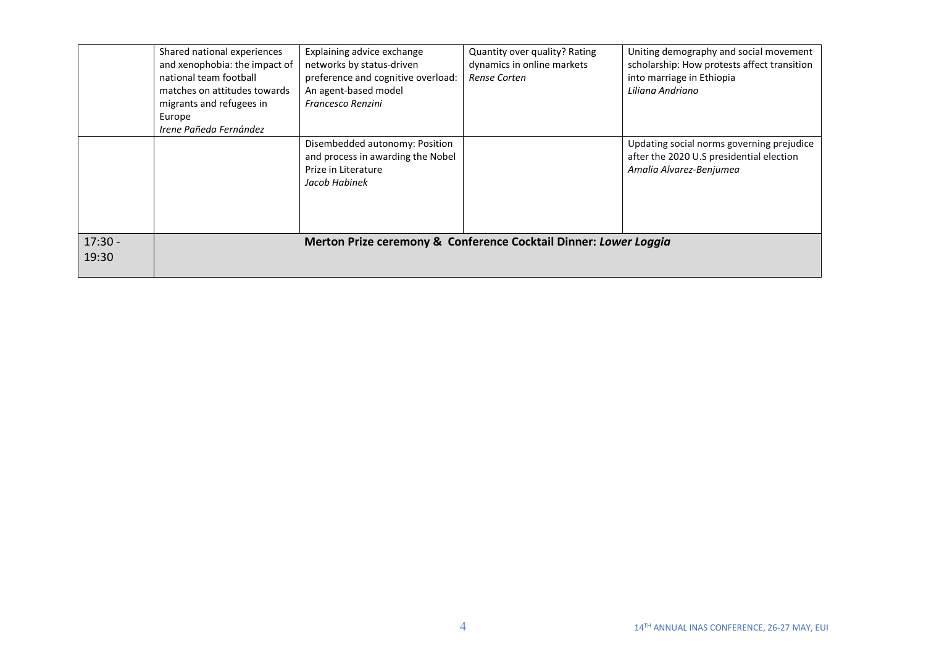|           | Shared national experiences                                      | Explaining advice exchange         | Quantity over quality? Rating | Uniting demography and social movement      |  |
|-----------|------------------------------------------------------------------|------------------------------------|-------------------------------|---------------------------------------------|--|
|           | and xenophobia: the impact of                                    | networks by status-driven          | dynamics in online markets    | scholarship: How protests affect transition |  |
|           | national team football                                           | preference and cognitive overload: | Rense Corten                  | into marriage in Ethiopia                   |  |
|           | matches on attitudes towards                                     | An agent-based model               |                               | Liliana Andriano                            |  |
|           | migrants and refugees in                                         | <b>Francesco Renzini</b>           |                               |                                             |  |
|           | Europe                                                           |                                    |                               |                                             |  |
|           | Irene Pañeda Fernández                                           |                                    |                               |                                             |  |
|           |                                                                  | Disembedded autonomy: Position     |                               | Updating social norms governing prejudice   |  |
|           |                                                                  | and process in awarding the Nobel  |                               | after the 2020 U.S presidential election    |  |
|           |                                                                  | Prize in Literature                |                               | Amalia Alvarez-Benjumea                     |  |
|           |                                                                  | Jacob Habinek                      |                               |                                             |  |
|           |                                                                  |                                    |                               |                                             |  |
|           |                                                                  |                                    |                               |                                             |  |
|           |                                                                  |                                    |                               |                                             |  |
| $17:30 -$ |                                                                  |                                    |                               |                                             |  |
|           | Merton Prize ceremony & Conference Cocktail Dinner: Lower Loggia |                                    |                               |                                             |  |
| 19:30     |                                                                  |                                    |                               |                                             |  |
|           |                                                                  |                                    |                               |                                             |  |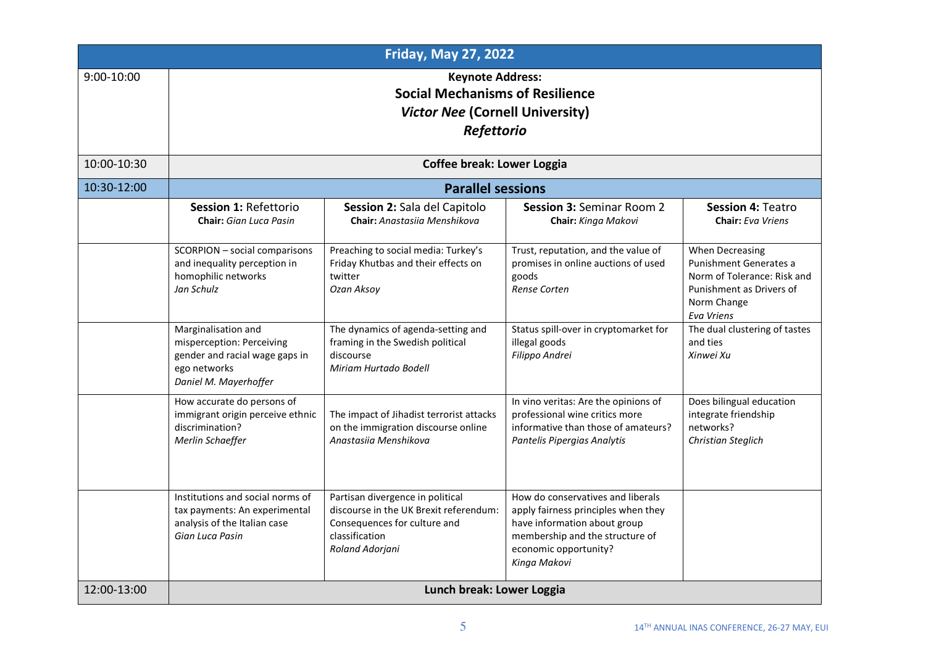| <b>Friday, May 27, 2022</b> |                                                                                                                             |                                                                                                                                                 |                                                                                                                                                                                      |                                                                                                                                   |
|-----------------------------|-----------------------------------------------------------------------------------------------------------------------------|-------------------------------------------------------------------------------------------------------------------------------------------------|--------------------------------------------------------------------------------------------------------------------------------------------------------------------------------------|-----------------------------------------------------------------------------------------------------------------------------------|
| 9:00-10:00                  | <b>Keynote Address:</b><br><b>Social Mechanisms of Resilience</b><br><b>Victor Nee (Cornell University)</b><br>Refettorio   |                                                                                                                                                 |                                                                                                                                                                                      |                                                                                                                                   |
| 10:00-10:30                 | <b>Coffee break: Lower Loggia</b>                                                                                           |                                                                                                                                                 |                                                                                                                                                                                      |                                                                                                                                   |
| 10:30-12:00                 | <b>Parallel sessions</b>                                                                                                    |                                                                                                                                                 |                                                                                                                                                                                      |                                                                                                                                   |
|                             | Session 1: Refettorio<br><b>Chair:</b> Gian Luca Pasin                                                                      | Session 2: Sala del Capitolo<br>Chair: Anastasija Menshikova                                                                                    | <b>Session 3: Seminar Room 2</b><br>Chair: Kinga Makovi                                                                                                                              | <b>Session 4: Teatro</b><br><b>Chair:</b> Eva Vriens                                                                              |
|                             | SCORPION - social comparisons<br>and inequality perception in<br>homophilic networks<br>Jan Schulz                          | Preaching to social media: Turkey's<br>Friday Khutbas and their effects on<br>twitter<br>Ozan Aksoy                                             | Trust, reputation, and the value of<br>promises in online auctions of used<br>goods<br>Rense Corten                                                                                  | When Decreasing<br>Punishment Generates a<br>Norm of Tolerance: Risk and<br>Punishment as Drivers of<br>Norm Change<br>Eva Vriens |
|                             | Marginalisation and<br>misperception: Perceiving<br>gender and racial wage gaps in<br>ego networks<br>Daniel M. Mayerhoffer | The dynamics of agenda-setting and<br>framing in the Swedish political<br>discourse<br>Miriam Hurtado Bodell                                    | Status spill-over in cryptomarket for<br>illegal goods<br>Filippo Andrei                                                                                                             | The dual clustering of tastes<br>and ties<br>Xinwei Xu                                                                            |
|                             | How accurate do persons of<br>immigrant origin perceive ethnic<br>discrimination?<br>Merlin Schaeffer                       | The impact of Jihadist terrorist attacks<br>on the immigration discourse online<br>Anastasija Menshikova                                        | In vino veritas: Are the opinions of<br>professional wine critics more<br>informative than those of amateurs?<br>Pantelis Pipergias Analytis                                         | Does bilingual education<br>integrate friendship<br>networks?<br>Christian Steglich                                               |
|                             | Institutions and social norms of<br>tax payments: An experimental<br>analysis of the Italian case<br>Gian Luca Pasin        | Partisan divergence in political<br>discourse in the UK Brexit referendum:<br>Consequences for culture and<br>classification<br>Roland Adorjani | How do conservatives and liberals<br>apply fairness principles when they<br>have information about group<br>membership and the structure of<br>economic opportunity?<br>Kinga Makovi |                                                                                                                                   |
| 12:00-13:00                 | Lunch break: Lower Loggia                                                                                                   |                                                                                                                                                 |                                                                                                                                                                                      |                                                                                                                                   |